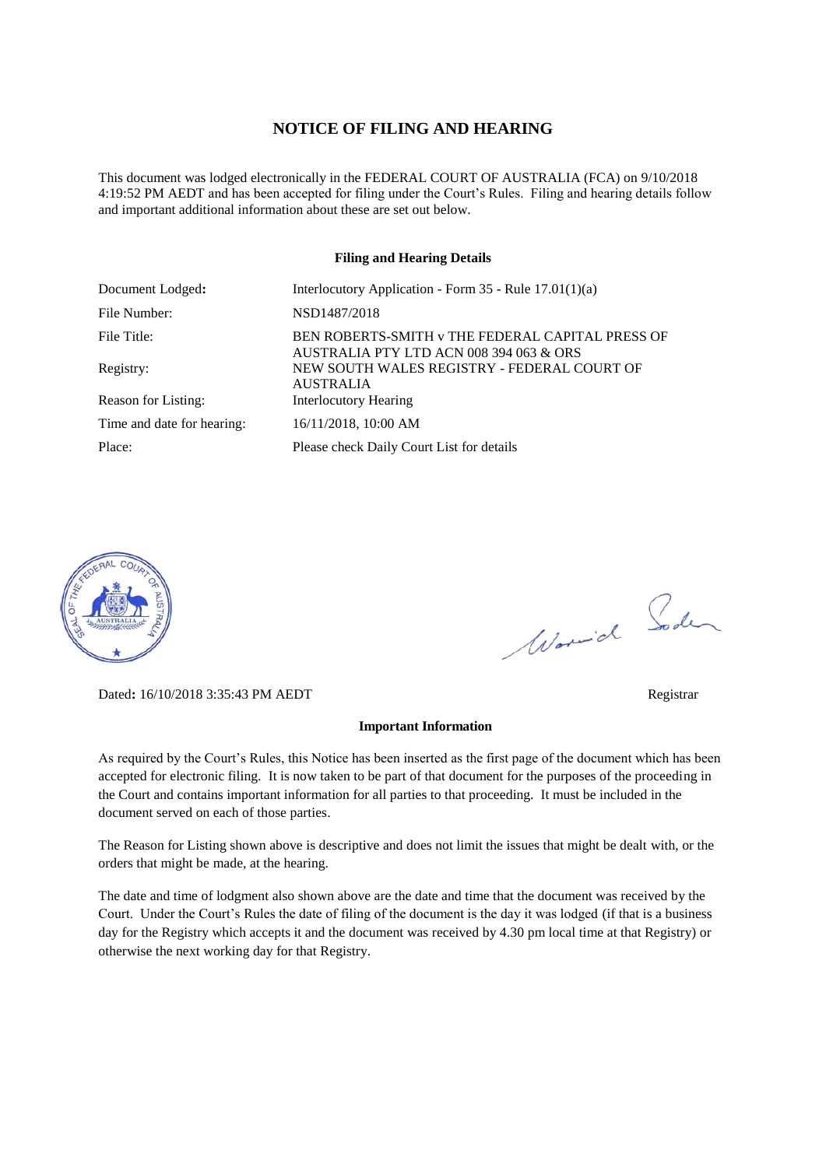### **NOTICE OF FILING AND HEARING**

This document was lodged electronically in the FEDERAL COURT OF AUSTRALIA (FCA) on 9/10/2018 4:19:52 PM AEDT and has been accepted for filing under the Court's Rules. Filing and hearing details follow and important additional information about these are set out below.

#### **Filing and Hearing Details**

| Document Lodged:           | Interlocutory Application - Form $35$ - Rule $17.01(1)(a)$                                  |
|----------------------------|---------------------------------------------------------------------------------------------|
| File Number:               | NSD1487/2018                                                                                |
| File Title:                | BEN ROBERTS-SMITH v THE FEDERAL CAPITAL PRESS OF<br>AUSTRALIA PTY LTD ACN 008 394 063 & ORS |
| Registry:                  | NEW SOUTH WALES REGISTRY - FEDERAL COURT OF<br><b>AUSTRALIA</b>                             |
| Reason for Listing:        | <b>Interlocutory Hearing</b>                                                                |
| Time and date for hearing: | 16/11/2018, 10:00 AM                                                                        |
| Place:                     | Please check Daily Court List for details                                                   |



Dated**:** 16/10/2018 3:35:43 PM AEDT Registrar

#### **Important Information**

As required by the Court's Rules, this Notice has been inserted as the first page of the document which has been accepted for electronic filing. It is now taken to be part of that document for the purposes of the proceeding in the Court and contains important information for all parties to that proceeding. It must be included in the document served on each of those parties.

The Reason for Listing shown above is descriptive and does not limit the issues that might be dealt with, or the orders that might be made, at the hearing.

The date and time of lodgment also shown above are the date and time that the document was received by the Court. Under the Court's Rules the date of filing of the document is the day it was lodged (if that is a business day for the Registry which accepts it and the document was received by 4.30 pm local time at that Registry) or otherwise the next working day for that Registry.

Worwich Soden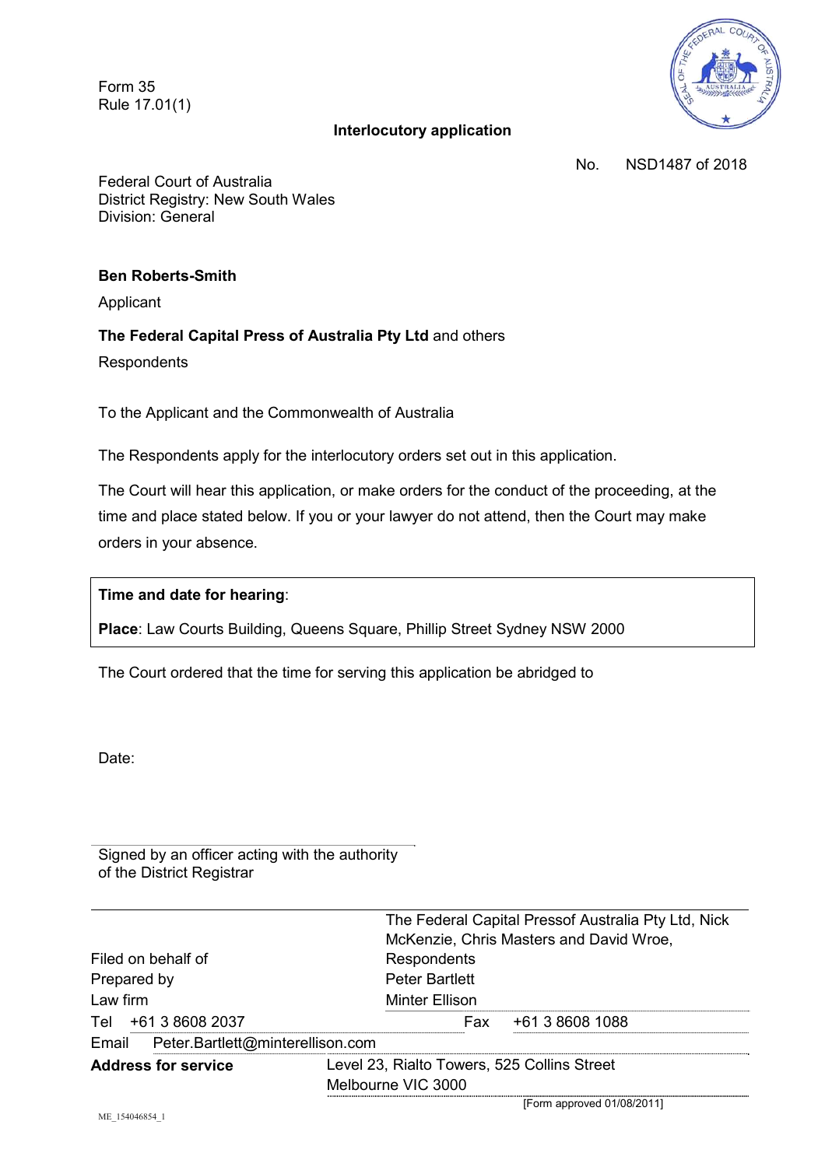Form 35 Rule 17.01(1)

# **Interlocutory application**



No. NSD1487 of 2018

Federal Court of Australia District Registry: New South Wales Division: General

### **Ben Roberts-Smith**

Applicant

# **The Federal Capital Press of Australia Pty Ltd** and others

**Respondents** 

To the Applicant and the Commonwealth of Australia

The Respondents apply for the interlocutory orders set out in this application.

The Court will hear this application, or make orders for the conduct of the proceeding, at the time and place stated below. If you or your lawyer do not attend, then the Court may make orders in your absence.

## **Time and date for hearing**:

**Place**: Law Courts Building, Queens Square, Phillip Street Sydney NSW 2000

The Court ordered that the time for serving this application be abridged to

Date:

Signed by an officer acting with the authority of the District Registrar

|                                        | The Federal Capital Pressof Australia Pty Ltd, Nick<br>McKenzie, Chris Masters and David Wroe, |
|----------------------------------------|------------------------------------------------------------------------------------------------|
| Filed on behalf of                     | Respondents                                                                                    |
| Prepared by                            | <b>Peter Bartlett</b>                                                                          |
| Law firm                               | <b>Minter Ellison</b>                                                                          |
| Tel +61 3 8608 2037                    | +61 3 8608 1088<br>Fax                                                                         |
| Email Peter.Bartlett@minterellison.com |                                                                                                |
| <b>Address for service</b>             | Level 23, Rialto Towers, 525 Collins Street                                                    |
|                                        | Melbourne VIC 3000                                                                             |

[Form approved 01/08/2011]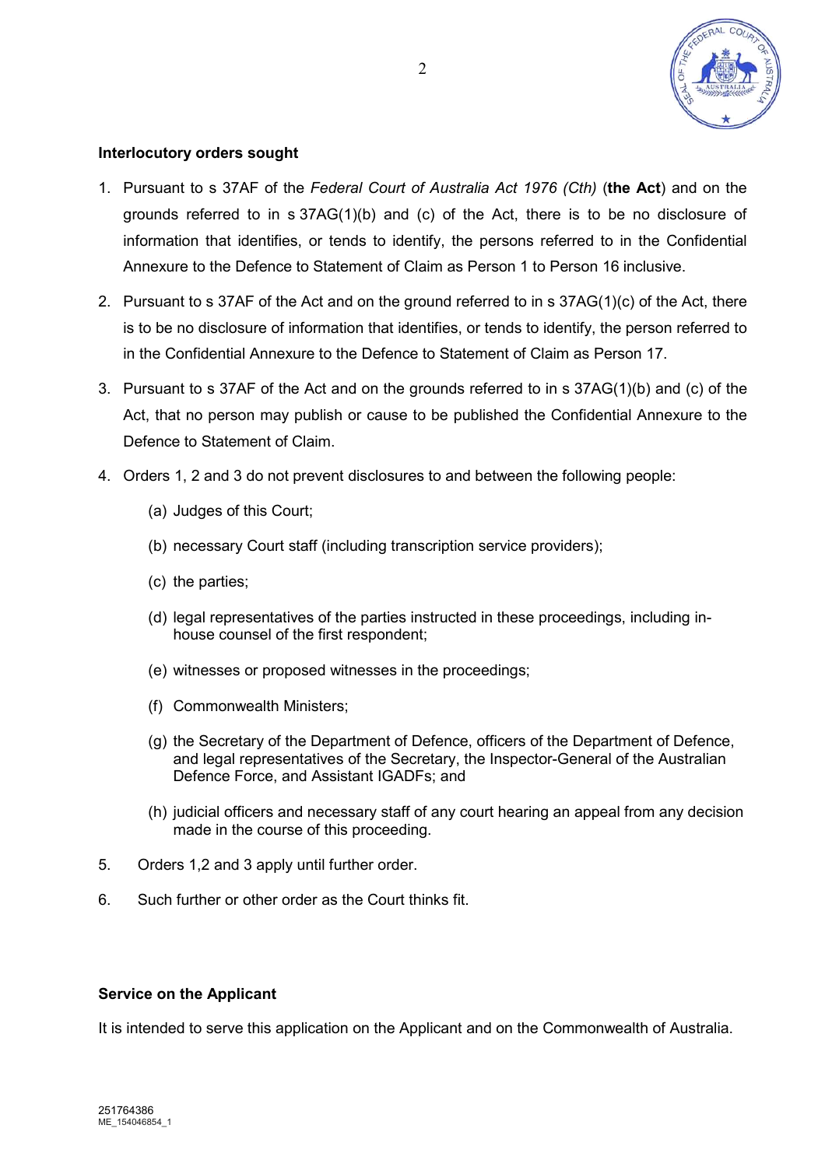

# **Interlocutory orders sought**

- 1. Pursuant to s 37AF of the *Federal Court of Australia Act 1976 (Cth)* (**the Act**) and on the grounds referred to in  $s$  37AG(1)(b) and (c) of the Act, there is to be no disclosure of information that identifies, or tends to identify, the persons referred to in the Confidential Annexure to the Defence to Statement of Claim as Person 1 to Person 16 inclusive.
- 2. Pursuant to s 37AF of the Act and on the ground referred to in s 37AG(1)(c) of the Act, there is to be no disclosure of information that identifies, or tends to identify, the person referred to in the Confidential Annexure to the Defence to Statement of Claim as Person 17.
- 3. Pursuant to s 37AF of the Act and on the grounds referred to in s 37AG(1)(b) and (c) of the Act, that no person may publish or cause to be published the Confidential Annexure to the Defence to Statement of Claim.
- 4. Orders 1, 2 and 3 do not prevent disclosures to and between the following people:
	- (a) Judges of this Court;
	- (b) necessary Court staff (including transcription service providers);
	- (c) the parties;
	- (d) legal representatives of the parties instructed in these proceedings, including inhouse counsel of the first respondent;
	- (e) witnesses or proposed witnesses in the proceedings;
	- (f) Commonwealth Ministers;
	- (g) the Secretary of the Department of Defence, officers of the Department of Defence, and legal representatives of the Secretary, the Inspector-General of the Australian Defence Force, and Assistant IGADFs; and
	- (h) judicial officers and necessary staff of any court hearing an appeal from any decision made in the course of this proceeding.
- 5. Orders 1,2 and 3 apply until further order.
- 6. Such further or other order as the Court thinks fit.

## **Service on the Applicant**

It is intended to serve this application on the Applicant and on the Commonwealth of Australia.